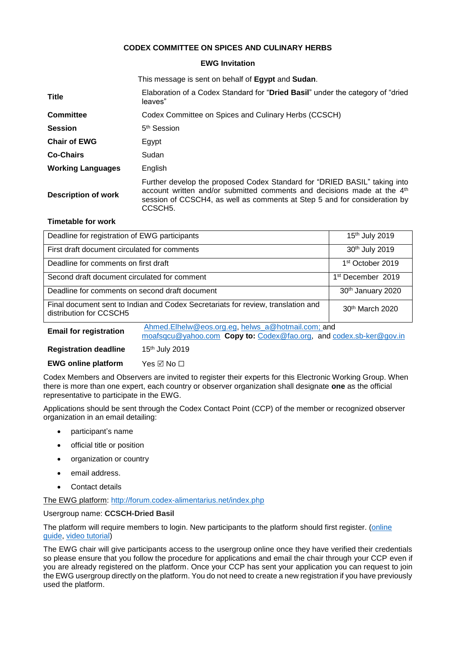# **CODEX COMMITTEE ON SPICES AND CULINARY HERBS**

### **EWG Invitation**

This message is sent on behalf of **Egypt** and **Sudan**.

| Title                      | Elaboration of a Codex Standard for "Dried Basil" under the category of "dried"<br>leaves"                                                                                                                                                                            |  |
|----------------------------|-----------------------------------------------------------------------------------------------------------------------------------------------------------------------------------------------------------------------------------------------------------------------|--|
| <b>Committee</b>           | Codex Committee on Spices and Culinary Herbs (CCSCH)                                                                                                                                                                                                                  |  |
| <b>Session</b>             | 5 <sup>th</sup> Session                                                                                                                                                                                                                                               |  |
| <b>Chair of EWG</b>        | Egypt                                                                                                                                                                                                                                                                 |  |
| <b>Co-Chairs</b>           | Sudan                                                                                                                                                                                                                                                                 |  |
| <b>Working Languages</b>   | English                                                                                                                                                                                                                                                               |  |
| <b>Description of work</b> | Further develop the proposed Codex Standard for "DRIED BASIL" taking into<br>account written and/or submitted comments and decisions made at the 4 <sup>th</sup><br>session of CCSCH4, as well as comments at Step 5 and for consideration by<br>CCSCH <sub>5</sub> . |  |

### **Timetable for work**

| Deadline for registration of EWG participants                                                               |                                                                                                                         | 15th July 2019                |
|-------------------------------------------------------------------------------------------------------------|-------------------------------------------------------------------------------------------------------------------------|-------------------------------|
| First draft document circulated for comments                                                                |                                                                                                                         | 30th July 2019                |
| Deadline for comments on first draft                                                                        |                                                                                                                         | 1 <sup>st</sup> October 2019  |
| Second draft document circulated for comment                                                                |                                                                                                                         | 1 <sup>st</sup> December 2019 |
| Deadline for comments on second draft document                                                              |                                                                                                                         | 30th January 2020             |
| Final document sent to Indian and Codex Secretariats for review, translation and<br>distribution for CCSCH5 |                                                                                                                         | 30 <sup>th</sup> March 2020   |
| <b>Email for registration</b>                                                                               | Ahmed.Elhelw@eos.org.eg, helws_a@hotmail.com; and<br>moafsqcu@yahoo.com Copy to: Codex@fao.org, and codex.sb-ker@gov.in |                               |
| <b>Registration deadline</b>                                                                                | 15th July 2019                                                                                                          |                               |
| <b>EWG online platform</b>                                                                                  | Yes ☑ No □                                                                                                              |                               |

Codex Members and Observers are invited to register their experts for this Electronic Working Group. When there is more than one expert, each country or observer organization shall designate **one** as the official representative to participate in the EWG.

Applications should be sent through the Codex Contact Point (CCP) of the member or recognized observer organization in an email detailing:

- participant's name
- official title or position
- organization or country
- email address.
- Contact details

The EWG platform:<http://forum.codex-alimentarius.net/index.php>

#### Usergroup name: **CCSCH-Dried Basil**

The platform will require members to login. New participants to the platform should first register. (online [guide,](http://forum.codex-alimentarius.net/viewtopic.php?f=13&t=11) [video tutorial\)](https://youtu.be/EJn9k7wNSwk)

The EWG chair will give participants access to the usergroup online once they have verified their credentials so please ensure that you follow the procedure for applications and email the chair through your CCP even if you are already registered on the platform. Once your CCP has sent your application you can request to join the EWG usergroup directly on the platform. You do not need to create a new registration if you have previously used the platform.